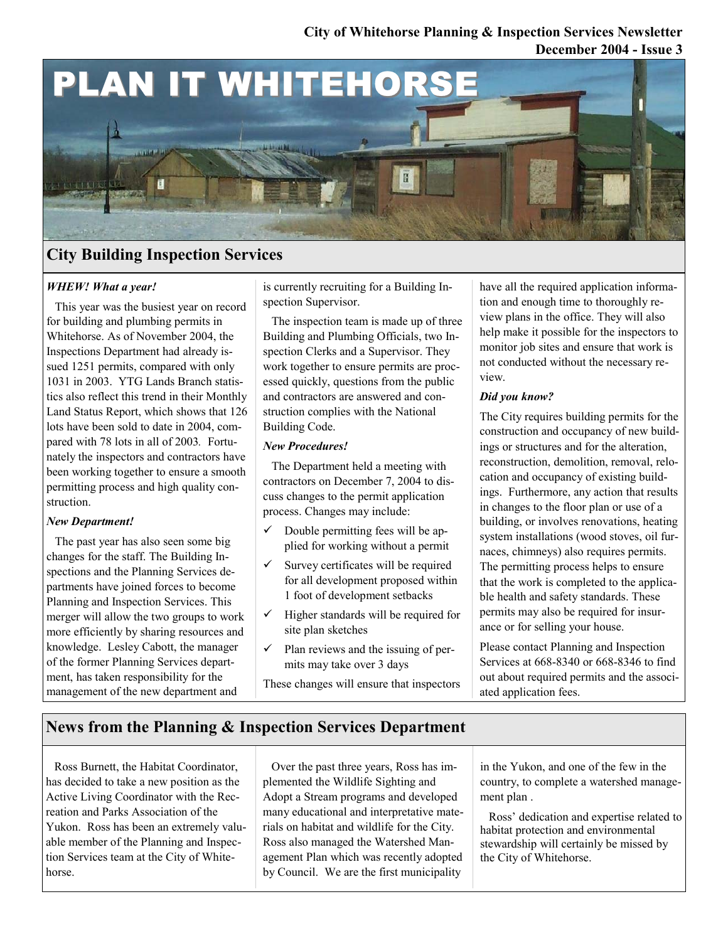### **December 2004 - Issue 3 City of Whitehorse Planning & Inspection Services Newsletter**



# **City Building Inspection Services**

### *WHEW! What a year!*

This year was the busiest year on record for building and plumbing permits in Whitehorse. As of November 2004, the Inspections Department had already issued 1251 permits, compared with only 1031 in 2003. YTG Lands Branch statistics also reflect this trend in their Monthly Land Status Report, which shows that 126 lots have been sold to date in 2004, compared with 78 lots in all of 2003*.* Fortunately the inspectors and contractors have been working together to ensure a smooth permitting process and high quality construction.

### *New Department!*

The past year has also seen some big changes for the staff. The Building Inspections and the Planning Services departments have joined forces to become Planning and Inspection Services. This merger will allow the two groups to work more efficiently by sharing resources and knowledge. Lesley Cabott, the manager of the former Planning Services department, has taken responsibility for the management of the new department and

is currently recruiting for a Building Inspection Supervisor.

The inspection team is made up of three Building and Plumbing Officials, two Inspection Clerks and a Supervisor. They work together to ensure permits are processed quickly, questions from the public and contractors are answered and construction complies with the National Building Code.

#### *New Procedures!*

The Department held a meeting with contractors on December 7, 2004 to discuss changes to the permit application process. Changes may include:

- Double permitting fees will be applied for working without a permit
- $\checkmark$  Survey certificates will be required for all development proposed within 1 foot of development setbacks
- $\checkmark$  Higher standards will be required for site plan sketches
- $\checkmark$  Plan reviews and the issuing of permits may take over 3 days

These changes will ensure that inspectors

have all the required application information and enough time to thoroughly review plans in the office. They will also help make it possible for the inspectors to monitor job sites and ensure that work is not conducted without the necessary review.

### *Did you know?*

The City requires building permits for the construction and occupancy of new buildings or structures and for the alteration, reconstruction, demolition, removal, relocation and occupancy of existing buildings. Furthermore, any action that results in changes to the floor plan or use of a building, or involves renovations, heating system installations (wood stoves, oil furnaces, chimneys) also requires permits. The permitting process helps to ensure that the work is completed to the applicable health and safety standards. These permits may also be required for insurance or for selling your house.

Please contact Planning and Inspection Services at 668-8340 or 668-8346 to find out about required permits and the associated application fees.

# **News from the Planning & Inspection Services Department**

Ross Burnett, the Habitat Coordinator, has decided to take a new position as the Active Living Coordinator with the Recreation and Parks Association of the Yukon. Ross has been an extremely valuable member of the Planning and Inspection Services team at the City of Whitehorse.

Over the past three years, Ross has implemented the Wildlife Sighting and Adopt a Stream programs and developed many educational and interpretative materials on habitat and wildlife for the City. Ross also managed the Watershed Management Plan which was recently adopted by Council. We are the first municipality

in the Yukon, and one of the few in the country, to complete a watershed management plan .

Ross' dedication and expertise related to habitat protection and environmental stewardship will certainly be missed by the City of Whitehorse.